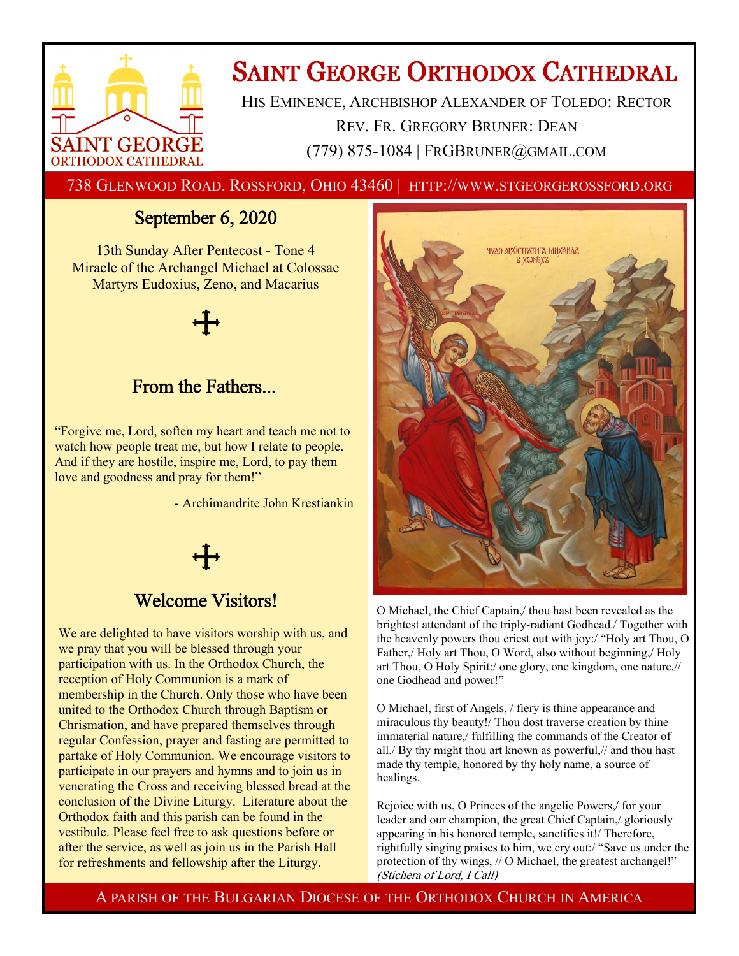

# **SAINT GEORGE ORTHODOX CATHEDRAL**

HIS EMINENCE, ARCHBISHOP ALEXANDER OF TOLEDO: RECTOR REV. FR. GREGORY BRUNER: DEAN (779) 875-1084 | FRGBRUNER@GMAIL.COM

738 GLENWOOD ROAD. ROSSFORD, OHIO 43460 | HTTP://WWW.STGEORGEROSSFORD.ORG

## September 6, 2020

13th Sunday After Pentecost - Tone 4 Miracle of the Archangel Michael at Colossae Martyrs Eudoxius, Zeno, and Macarius



## From the Fathers...

"Forgive me, Lord, soften my heart and teach me not to watch how people treat me, but how I relate to people. And if they are hostile, inspire me, Lord, to pay them love and goodness and pray for them!"

- Archimandrite John Krestiankin



## Welcome Visitors!

We are delighted to have visitors worship with us, and we pray that you will be blessed through your participation with us. In the Orthodox Church, the reception of Holy Communion is a mark of membership in the Church. Only those who have been united to the Orthodox Church through Baptism or Chrismation, and have prepared themselves through regular Confession, prayer and fasting are permitted to partake of Holy Communion. We encourage visitors to participate in our prayers and hymns and to join us in venerating the Cross and receiving blessed bread at the conclusion of the Divine Liturgy. Literature about the Orthodox faith and this parish can be found in the vestibule. Please feel free to ask questions before or after the service, as well as join us in the Parish Hall for refreshments and fellowship after the Liturgy.



O Michael, the Chief Captain,/ thou hast been revealed as the brightest attendant of the triply-radiant Godhead./ Together with the heavenly powers thou criest out with joy:/ "Holy art Thou, O Father, Holy art Thou, O Word, also without beginning, Holy art Thou, O Holy Spirit:/ one glory, one kingdom, one nature,// one Godhead and power!"

O Michael, first of Angels, / fiery is thine appearance and miraculous thy beauty!/ Thou dost traverse creation by thine immaterial nature,/ fulfilling the commands of the Creator of all./ By thy might thou art known as powerful,// and thou hast made thy temple, honored by thy holy name, a source of healings.

Rejoice with us, O Princes of the angelic Powers,/ for your leader and our champion, the great Chief Captain,/ gloriously appearing in his honored temple, sanctifies it!/ Therefore, rightfully singing praises to him, we cry out:/ "Save us under the protection of thy wings, // O Michael, the greatest archangel!" (Stichera of Lord, I Call)

A PARISH OF THE BULGARIAN DIOCESE OF THE ORTHODOX CHURCH IN AMERICA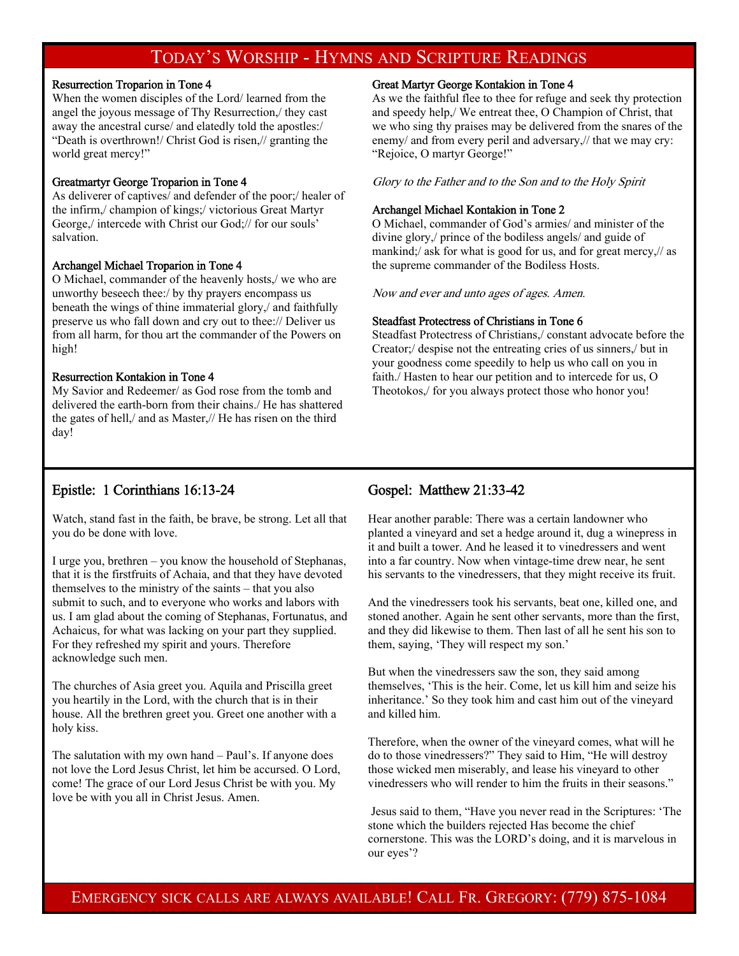## TODAY'S WORSHIP - HYMNS AND SCRIPTURE READINGS

## Resurrection Troparion in Tone 4

When the women disciples of the Lord/ learned from the angel the joyous message of Thy Resurrection,/ they cast away the ancestral curse/ and elatedly told the apostles:/ "Death is overthrown!/ Christ God is risen,// granting the world great mercy!"

### Greatmartyr George Troparion in Tone 4

As deliverer of captives/ and defender of the poor;/ healer of the infirm,/ champion of kings;/ victorious Great Martyr George,/ intercede with Christ our God;// for our souls' salvation.

### Archangel Michael Troparion in Tone 4

O Michael, commander of the heavenly hosts,/ we who are unworthy beseech thee:/ by thy prayers encompass us beneath the wings of thine immaterial glory,/ and faithfully preserve us who fall down and cry out to thee:// Deliver us from all harm, for thou art the commander of the Powers on high!

### Resurrection Kontakion in Tone 4

My Savior and Redeemer/ as God rose from the tomb and delivered the earth-born from their chains./ He has shattered the gates of hell,/ and as Master,// He has risen on the third day!

### Great Martyr George Kontakion in Tone 4

As we the faithful flee to thee for refuge and seek thy protection and speedy help,/ We entreat thee, O Champion of Christ, that we who sing thy praises may be delivered from the snares of the enemy/ and from every peril and adversary,// that we may cry: "Rejoice, O martyr George!"

Glory to the Father and to the Son and to the Holy Spirit

### Archangel Michael Kontakion in Tone 2

O Michael, commander of God's armies/ and minister of the divine glory,/ prince of the bodiless angels/ and guide of mankind;/ ask for what is good for us, and for great mercy,// as the supreme commander of the Bodiless Hosts.

Now and ever and unto ages of ages. Amen.

### Steadfast Protectress of Christians in Tone 6

Steadfast Protectress of Christians,/ constant advocate before the Creator;/ despise not the entreating cries of us sinners,/ but in your goodness come speedily to help us who call on you in faith./ Hasten to hear our petition and to intercede for us, O Theotokos,/ for you always protect those who honor you!

## Epistle: 1 Corinthians 16:13-24

Watch, stand fast in the faith, be brave, be strong. Let all that you do be done with love.

I urge you, brethren – you know the household of Stephanas, that it is the firstfruits of Achaia, and that they have devoted themselves to the ministry of the saints – that you also submit to such, and to everyone who works and labors with us. I am glad about the coming of Stephanas, Fortunatus, and Achaicus, for what was lacking on your part they supplied. For they refreshed my spirit and yours. Therefore acknowledge such men.

The churches of Asia greet you. Aquila and Priscilla greet you heartily in the Lord, with the church that is in their house. All the brethren greet you. Greet one another with a holy kiss.

The salutation with my own hand – Paul's. If anyone does not love the Lord Jesus Christ, let him be accursed. O Lord, come! The grace of our Lord Jesus Christ be with you. My love be with you all in Christ Jesus. Amen.

## Gospel: Matthew 21:33-42

Hear another parable: There was a certain landowner who planted a vineyard and set a hedge around it, dug a winepress in it and built a tower. And he leased it to vinedressers and went into a far country. Now when vintage-time drew near, he sent his servants to the vinedressers, that they might receive its fruit.

And the vinedressers took his servants, beat one, killed one, and stoned another. Again he sent other servants, more than the first, and they did likewise to them. Then last of all he sent his son to them, saying, 'They will respect my son.'

But when the vinedressers saw the son, they said among themselves, 'This is the heir. Come, let us kill him and seize his inheritance.' So they took him and cast him out of the vineyard and killed him.

Therefore, when the owner of the vineyard comes, what will he do to those vinedressers?" They said to Him, "He will destroy those wicked men miserably, and lease his vineyard to other vinedressers who will render to him the fruits in their seasons."

 Jesus said to them, "Have you never read in the Scriptures: 'The stone which the builders rejected Has become the chief cornerstone. This was the LORD's doing, and it is marvelous in our eyes'?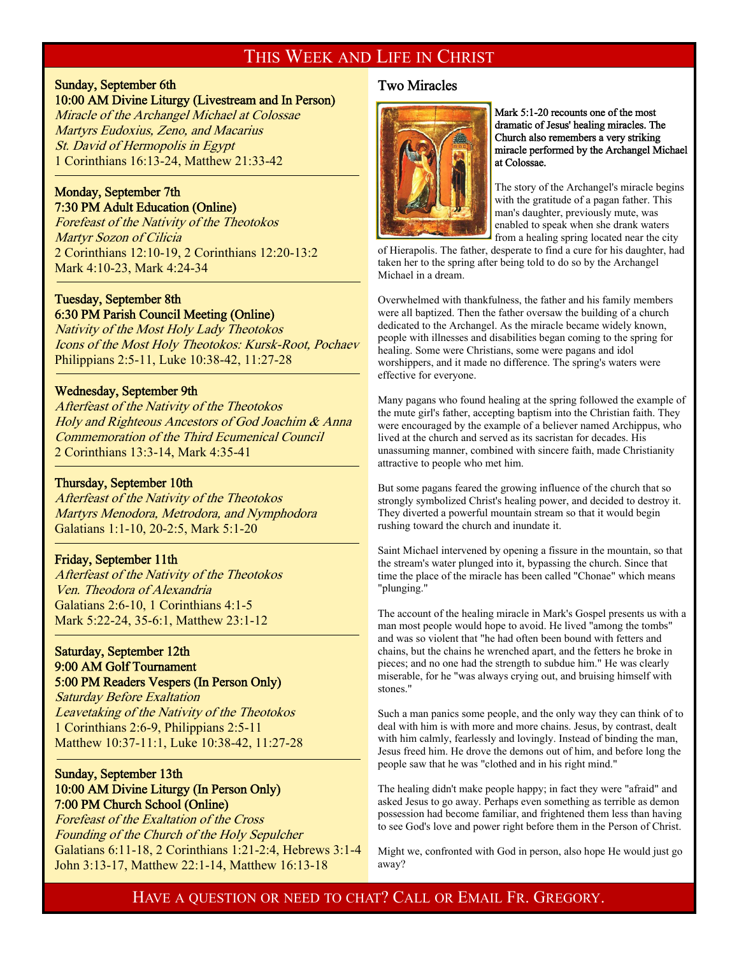## THIS WEEK AND LIFE IN CHRIST

## Sunday, September 6th 10:00 AM Divine Liturgy (Livestream and In Person)

Miracle of the Archangel Michael at Colossae Martyrs Eudoxius, Zeno, and Macarius St. David of Hermopolis in Egypt 1 Corinthians 16:13-24, Matthew 21:33-42

## Monday, September 7th 7:30 PM Adult Education (Online)

<sup>-</sup>

<sup>-</sup>

f

Forefeast of the Nativity of the Theotokos Martyr Sozon of Cilicia 2 Corinthians 12:10-19, 2 Corinthians 12:20-13:2 Mark 4:10-23, Mark 4:24-34

## Tuesday, September 8th 6:30 PM Parish Council Meeting (Online)

Nativity of the Most Holy Lady Theotokos Icons of the Most Holy Theotokos: Kursk-Root, Pochaev Philippians 2:5-11, Luke 10:38-42, 11:27-28

## Wednesday, September 9th

Afterfeast of the Nativity of the Theotokos Holy and Righteous Ancestors of God Joachim & Anna Commemoration of the Third Ecumenical Council 2 Corinthians 13:3-14, Mark 4:35-41

## Thursday, September 10th

Afterfeast of the Nativity of the Theotokos Martyrs Menodora, Metrodora, and Nymphodora Galatians 1:1-10, 20-2:5, Mark 5:1-20

## Friday, September 11th

Afterfeast of the Nativity of the Theotokos Ven. Theodora of Alexandria Galatians 2:6-10, 1 Corinthians 4:1-5 Mark 5:22-24, 35-6:1, Matthew 23:1-12

## Saturday, September 12th 9:00 AM Golf Tournament 5:00 PM Readers Vespers (In Person Only)

Saturday Before Exaltation Leavetaking of the Nativity of the Theotokos 1 Corinthians 2:6-9, Philippians 2:5-11 Matthew 10:37-11:1, Luke 10:38-42, 11:27-28

## Sunday, September 13th 10:00 AM Divine Liturgy (In Person Only) 7:00 PM Church School (Online)

Forefeast of the Exaltation of the Cross Founding of the Church of the Holy Sepulcher Galatians 6:11-18, 2 Corinthians 1:21-2:4, Hebrews 3:1-4 John 3:13-17, Matthew 22:1-14, Matthew 16:13-18

## Two Miracles



Mark 5:1-20 recounts one of the most dramatic of Jesus' healing miracles. The Church also remembers a very striking miracle performed by the Archangel Michael at Colossae.

The story of the Archangel's miracle begins with the gratitude of a pagan father. This man's daughter, previously mute, was enabled to speak when she drank waters from a healing spring located near the city

of Hierapolis. The father, desperate to find a cure for his daughter, had taken her to the spring after being told to do so by the Archangel Michael in a dream.

Overwhelmed with thankfulness, the father and his family members were all baptized. Then the father oversaw the building of a church dedicated to the Archangel. As the miracle became widely known, people with illnesses and disabilities began coming to the spring for healing. Some were Christians, some were pagans and idol worshippers, and it made no difference. The spring's waters were effective for everyone.

Many pagans who found healing at the spring followed the example of the mute girl's father, accepting baptism into the Christian faith. They were encouraged by the example of a believer named Archippus, who lived at the church and served as its sacristan for decades. His unassuming manner, combined with sincere faith, made Christianity attractive to people who met him.

But some pagans feared the growing influence of the church that so strongly symbolized Christ's healing power, and decided to destroy it. They diverted a powerful mountain stream so that it would begin rushing toward the church and inundate it.

Saint Michael intervened by opening a fissure in the mountain, so that the stream's water plunged into it, bypassing the church. Since that time the place of the miracle has been called "Chonae" which means "plunging."

The account of the healing miracle in Mark's Gospel presents us with a man most people would hope to avoid. He lived "among the tombs" and was so violent that "he had often been bound with fetters and chains, but the chains he wrenched apart, and the fetters he broke in pieces; and no one had the strength to subdue him." He was clearly miserable, for he "was always crying out, and bruising himself with stones."

Such a man panics some people, and the only way they can think of to deal with him is with more and more chains. Jesus, by contrast, dealt with him calmly, fearlessly and lovingly. Instead of binding the man, Jesus freed him. He drove the demons out of him, and before long the people saw that he was "clothed and in his right mind."

The healing didn't make people happy; in fact they were "afraid" and asked Jesus to go away. Perhaps even something as terrible as demon possession had become familiar, and frightened them less than having to see God's love and power right before them in the Person of Christ.

Might we, confronted with God in person, also hope He would just go away?

HAVE A QUESTION OR NEED TO CHAT? CALL OR EMAIL FR. GREGORY.